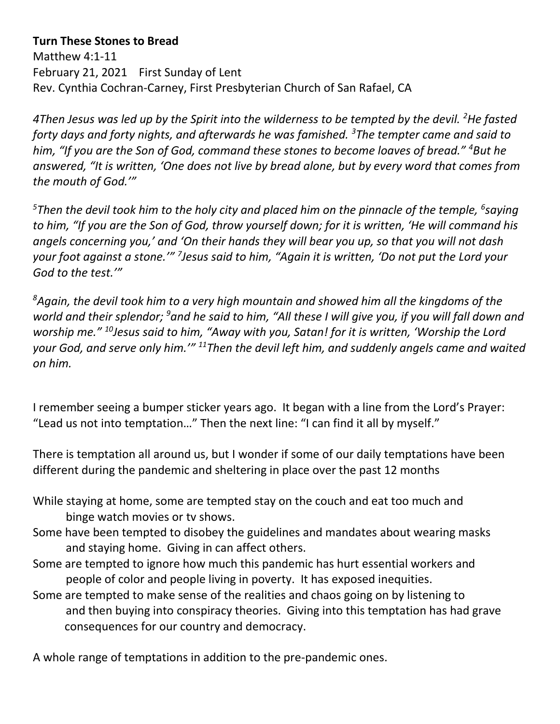## **Turn These Stones to Bread**

Matthew 4:1-11 February 21, 2021 First Sunday of Lent Rev. Cynthia Cochran-Carney, First Presbyterian Church of San Rafael, CA

*4Then Jesus was led up by the Spirit into the wilderness to be tempted by the devil. <sup>2</sup>He fasted forty days and forty nights, and afterwards he was famished. <sup>3</sup>The tempter came and said to him, "If you are the Son of God, command these stones to become loaves of bread." <sup>4</sup>But he answered, "It is written, 'One does not live by bread alone, but by every word that comes from the mouth of God.'"*

*<sup>5</sup>Then the devil took him to the holy city and placed him on the pinnacle of the temple, <sup>6</sup> saying to him, "If you are the Son of God, throw yourself down; for it is written, 'He will command his angels concerning you,' and 'On their hands they will bear you up, so that you will not dash your foot against a stone.'" <sup>7</sup> Jesus said to him, "Again it is written, 'Do not put the Lord your God to the test.'"*

*<sup>8</sup>Again, the devil took him to a very high mountain and showed him all the kingdoms of the world and their splendor; <sup>9</sup>and he said to him, "All these I will give you, if you will fall down and worship me." <sup>10</sup>Jesus said to him, "Away with you, Satan! for it is written, 'Worship the Lord your God, and serve only him.'" <sup>11</sup>Then the devil left him, and suddenly angels came and waited on him.*

I remember seeing a bumper sticker years ago. It began with a line from the Lord's Prayer: "Lead us not into temptation…" Then the next line: "I can find it all by myself."

There is temptation all around us, but I wonder if some of our daily temptations have been different during the pandemic and sheltering in place over the past 12 months

- While staying at home, some are tempted stay on the couch and eat too much and binge watch movies or tv shows.
- Some have been tempted to disobey the guidelines and mandates about wearing masks and staying home. Giving in can affect others.
- Some are tempted to ignore how much this pandemic has hurt essential workers and people of color and people living in poverty. It has exposed inequities.
- Some are tempted to make sense of the realities and chaos going on by listening to and then buying into conspiracy theories. Giving into this temptation has had grave consequences for our country and democracy.

A whole range of temptations in addition to the pre-pandemic ones.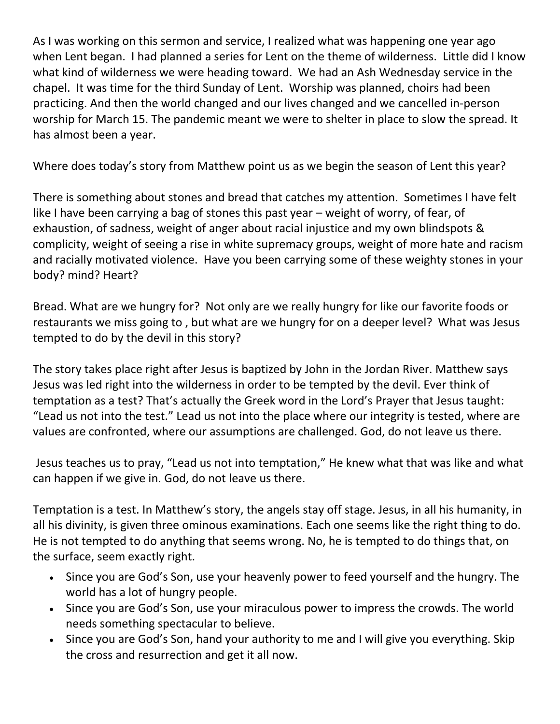As I was working on this sermon and service, I realized what was happening one year ago when Lent began. I had planned a series for Lent on the theme of wilderness. Little did I know what kind of wilderness we were heading toward. We had an Ash Wednesday service in the chapel. It was time for the third Sunday of Lent. Worship was planned, choirs had been practicing. And then the world changed and our lives changed and we cancelled in-person worship for March 15. The pandemic meant we were to shelter in place to slow the spread. It has almost been a year.

Where does today's story from Matthew point us as we begin the season of Lent this year?

There is something about stones and bread that catches my attention. Sometimes I have felt like I have been carrying a bag of stones this past year – weight of worry, of fear, of exhaustion, of sadness, weight of anger about racial injustice and my own blindspots & complicity, weight of seeing a rise in white supremacy groups, weight of more hate and racism and racially motivated violence. Have you been carrying some of these weighty stones in your body? mind? Heart?

Bread. What are we hungry for? Not only are we really hungry for like our favorite foods or restaurants we miss going to , but what are we hungry for on a deeper level? What was Jesus tempted to do by the devil in this story?

The story takes place right after Jesus is baptized by John in the Jordan River. Matthew says Jesus was led right into the wilderness in order to be tempted by the devil. Ever think of temptation as a test? That's actually the Greek word in the Lord's Prayer that Jesus taught: "Lead us not into the test." Lead us not into the place where our integrity is tested, where are values are confronted, where our assumptions are challenged. God, do not leave us there.

Jesus teaches us to pray, "Lead us not into temptation," He knew what that was like and what can happen if we give in. God, do not leave us there.

Temptation is a test. In Matthew's story, the angels stay off stage. Jesus, in all his humanity, in all his divinity, is given three ominous examinations. Each one seems like the right thing to do. He is not tempted to do anything that seems wrong. No, he is tempted to do things that, on the surface, seem exactly right.

- Since you are God's Son, use your heavenly power to feed yourself and the hungry. The world has a lot of hungry people.
- Since you are God's Son, use your miraculous power to impress the crowds. The world needs something spectacular to believe.
- Since you are God's Son, hand your authority to me and I will give you everything. Skip the cross and resurrection and get it all now.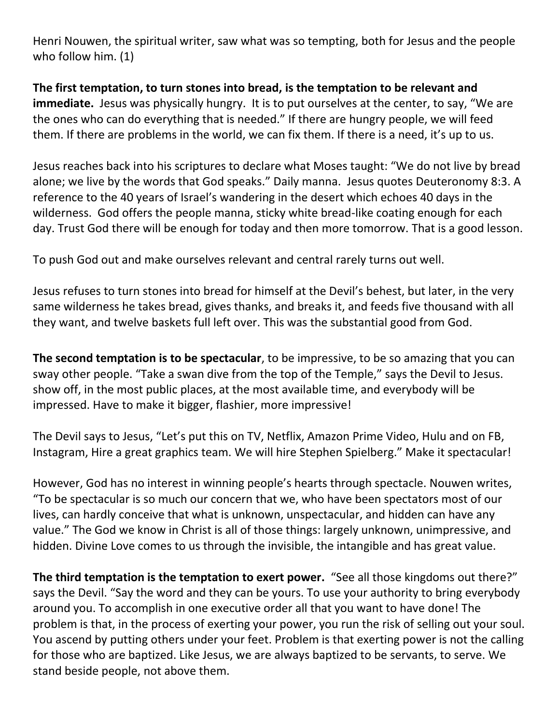Henri Nouwen, the spiritual writer, saw what was so tempting, both for Jesus and the people who follow him. (1)

**The first temptation, to turn stones into bread, is the temptation to be relevant and immediate.** Jesus was physically hungry.It is to put ourselves at the center, to say, "We are the ones who can do everything that is needed." If there are hungry people, we will feed them. If there are problems in the world, we can fix them. If there is a need, it's up to us.

Jesus reaches back into his scriptures to declare what Moses taught: "We do not live by bread alone; we live by the words that God speaks." Daily manna. Jesus quotes Deuteronomy 8:3. A reference to the 40 years of Israel's wandering in the desert which echoes 40 days in the wilderness. God offers the people manna, sticky white bread-like coating enough for each day. Trust God there will be enough for today and then more tomorrow. That is a good lesson.

To push God out and make ourselves relevant and central rarely turns out well.

Jesus refuses to turn stones into bread for himself at the Devil's behest, but later, in the very same wilderness he takes bread, gives thanks, and breaks it, and feeds five thousand with all they want, and twelve baskets full left over. This was the substantial good from God.

**The second temptation is to be spectacular**, to be impressive, to be so amazing that you can sway other people. "Take a swan dive from the top of the Temple," says the Devil to Jesus. show off, in the most public places, at the most available time, and everybody will be impressed. Have to make it bigger, flashier, more impressive!

The Devil says to Jesus, "Let's put this on TV, Netflix, Amazon Prime Video, Hulu and on FB, Instagram, Hire a great graphics team. We will hire Stephen Spielberg." Make it spectacular!

However, God has no interest in winning people's hearts through spectacle. Nouwen writes, "To be spectacular is so much our concern that we, who have been spectators most of our lives, can hardly conceive that what is unknown, unspectacular, and hidden can have any value." The God we know in Christ is all of those things: largely unknown, unimpressive, and hidden. Divine Love comes to us through the invisible, the intangible and has great value.

**The third temptation is the temptation to exert power.** "See all those kingdoms out there?" says the Devil. "Say the word and they can be yours. To use your authority to bring everybody around you. To accomplish in one executive order all that you want to have done! The problem is that, in the process of exerting your power, you run the risk of selling out your soul. You ascend by putting others under your feet. Problem is that exerting power is not the calling for those who are baptized. Like Jesus, we are always baptized to be servants, to serve. We stand beside people, not above them.